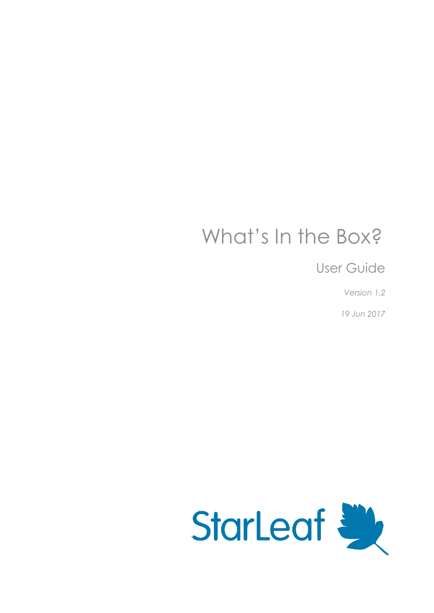# What's In the Box?

User Guide

*Version 1.2*

*19 Jun 2017*

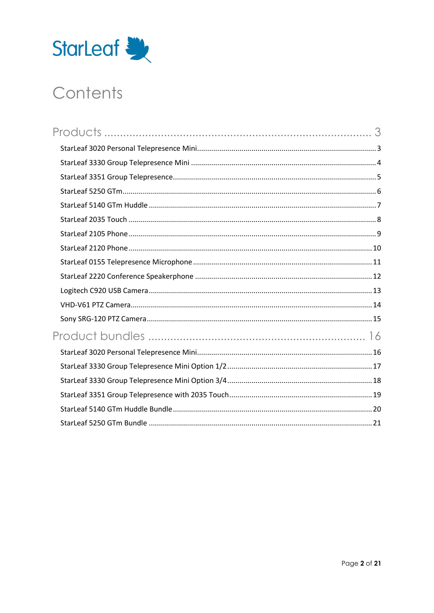

# Contents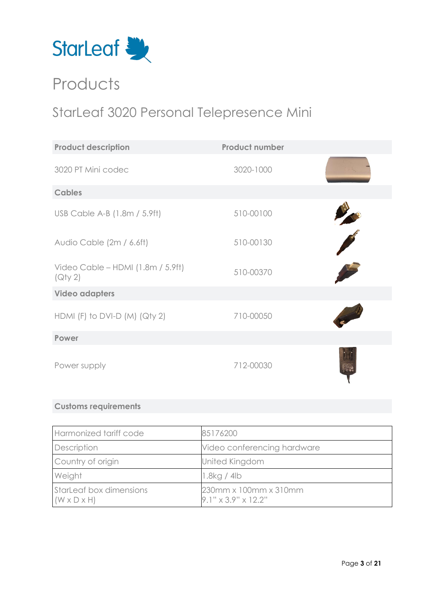

# <span id="page-2-0"></span>**Products**

### <span id="page-2-1"></span>StarLeaf 3020 Personal Telepresence Mini

| <b>Product description</b>                   | <b>Product number</b> |  |
|----------------------------------------------|-----------------------|--|
| 3020 PT Mini codec                           | 3020-1000             |  |
| <b>Cables</b>                                |                       |  |
| USB Cable A-B (1.8m / 5.9ft)                 | 510-00100             |  |
| Audio Cable (2m / 6.6ft)                     | 510-00130             |  |
| Video Cable - HDMI (1.8m / 5.9ft)<br>(Qty 2) | 510-00370             |  |
| <b>Video adapters</b>                        |                       |  |
| HDMI (F) to DVI-D (M) (Qty 2)                | 710-00050             |  |
| Power                                        |                       |  |
| Power supply                                 | 712-00030             |  |

| Harmonized tariff code                             | 85176200                                                 |
|----------------------------------------------------|----------------------------------------------------------|
| Description                                        | Video conferencing hardware                              |
| Country of origin                                  | <b>United Kingdom</b>                                    |
| Weight                                             | 1.8kg/4lb                                                |
| StarLeaf box dimensions<br>$(W \times D \times H)$ | 230mm x 100mm x 310mm<br>$9.1" \times 3.9" \times 12.2"$ |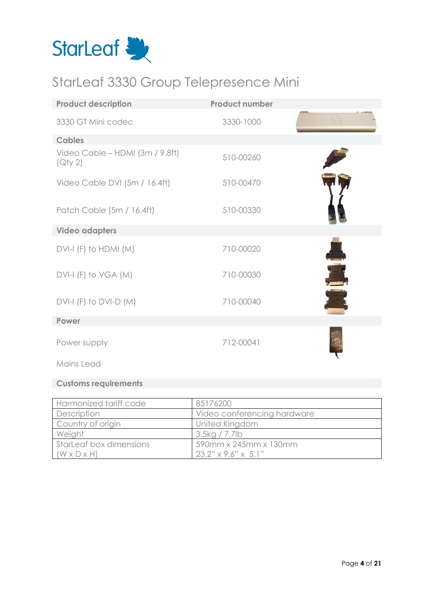

### <span id="page-3-0"></span>StarLeaf 3330 Group Telepresence Mini

| <b>Product description</b>                 | <b>Product number</b> |  |
|--------------------------------------------|-----------------------|--|
| 3330 GT Mini codec                         | 3330-1000             |  |
| <b>Cables</b>                              |                       |  |
| Video Cable - HDMI (3m / 9.8ft)<br>(Qty 2) | 510-00260             |  |
| Video Cable DVI (5m / 16.4ft)              | 510-00470             |  |
| Patch Cable (5m / 16.4ft)                  | 510-00330             |  |
| <b>Video adapters</b>                      |                       |  |
| $DVI-I$ (F) to HDMI (M)                    | 710-00020             |  |
| DVI-I (F) to VGA (M)                       | 710-00030             |  |
| $DVI-I$ (F) to $DVI-D$ (M)                 | 710-00040             |  |
| Power                                      |                       |  |
| Power supply                               | 712-00041             |  |
| Mains Lead                                 |                       |  |

| Harmonized tariff code  | 85176200                        |
|-------------------------|---------------------------------|
| Description             | Video conferencing hardware     |
| Country of origin       | United Kingdom                  |
| Weight                  | 3.5kg / 7.7lb                   |
| StarLeaf box dimensions | 590mm x 245mm x 130mm           |
| $(W \times D \times H)$ | $23.2" \times 9.6" \times 5.1"$ |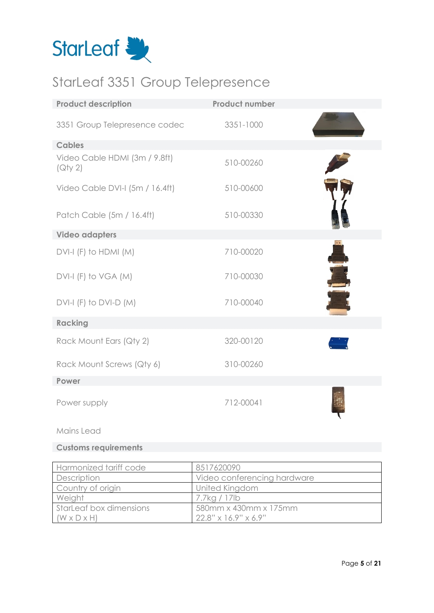

## <span id="page-4-0"></span>StarLeaf 3351 Group Telepresence

| <b>Product description</b>               | <b>Product number</b> |  |
|------------------------------------------|-----------------------|--|
| 3351 Group Telepresence codec            | 3351-1000             |  |
| <b>Cables</b>                            |                       |  |
| Video Cable HDMI (3m / 9.8ft)<br>(Qty 2) | 510-00260             |  |
| Video Cable DVI-I (5m / 16.4ft)          | 510-00600             |  |
| Patch Cable (5m / 16.4ft)                | 510-00330             |  |
| <b>Video adapters</b>                    |                       |  |
| $DVI-I$ (F) to HDMI (M)                  | 710-00020             |  |
| $DVI-I$ (F) to VGA (M)                   | 710-00030             |  |
| $DVI-I$ (F) to $DVI-D$ (M)               | 710-00040             |  |
| <b>Racking</b>                           |                       |  |
| Rack Mount Ears (Qty 2)                  | 320-00120             |  |
| Rack Mount Screws (Qty 6)                | 310-00260             |  |
| Power                                    |                       |  |
| Power supply                             | 712-00041             |  |

#### Mains Lead

| Harmonized tariff code  | 8517620090                          |
|-------------------------|-------------------------------------|
| Description             | Video conferencing hardware         |
| Country of origin       | United Kingdom                      |
| Weight                  | 7.7kg / 17lb                        |
| StarLeaf box dimensions | 580mm x 430mm x 175mm               |
| $(W \times D \times H)$ | $22.8'' \times 16.9'' \times 6.9''$ |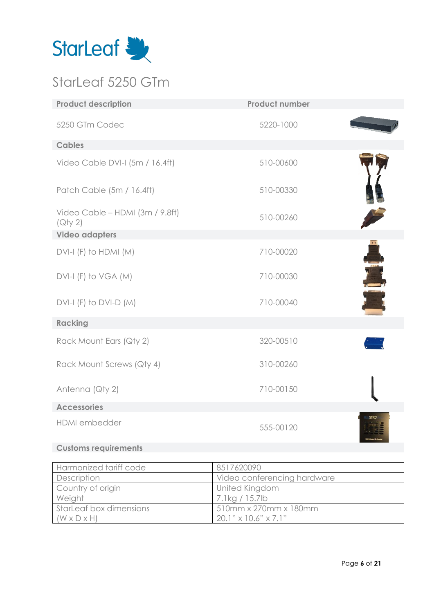

### <span id="page-5-0"></span>StarLeaf 5250 GTm

| <b>Product description</b>                 | <b>Product number</b> |  |
|--------------------------------------------|-----------------------|--|
| 5250 GTm Codec                             | 5220-1000             |  |
| <b>Cables</b>                              |                       |  |
| Video Cable DVI-I (5m / 16.4ft)            | 510-00600             |  |
| Patch Cable (5m / 16.4ft)                  | 510-00330             |  |
| Video Cable - HDMI (3m / 9.8ft)<br>(Qty 2) | 510-00260             |  |
| <b>Video adapters</b>                      |                       |  |
| $DVI-I$ (F) to HDMI (M)                    | 710-00020             |  |
| DVI-I (F) to VGA (M)                       | 710-00030             |  |
| $DVI-I$ (F) to $DVI-D$ (M)                 | 710-00040             |  |
| <b>Racking</b>                             |                       |  |
| Rack Mount Ears (Qty 2)                    | 320-00510             |  |
| Rack Mount Screws (Qty 4)                  | 310-00260             |  |
| Antenna (Qty 2)                            | 710-00150             |  |
| <b>Accessories</b>                         |                       |  |
| HDMI embedder                              | 555-00120             |  |
|                                            |                       |  |

| Harmonized tariff code  | 8517620090                            |
|-------------------------|---------------------------------------|
| Description             | Video conferencing hardware           |
| Country of origin       | United Kingdom                        |
| Weight                  | 7.1kg / 15.7lb                        |
| StarLeaf box dimensions | 510mm x 270mm x 180mm                 |
| $(W \times D \times H)$ | $20.1$ " $\times$ 10.6" $\times$ 7.1" |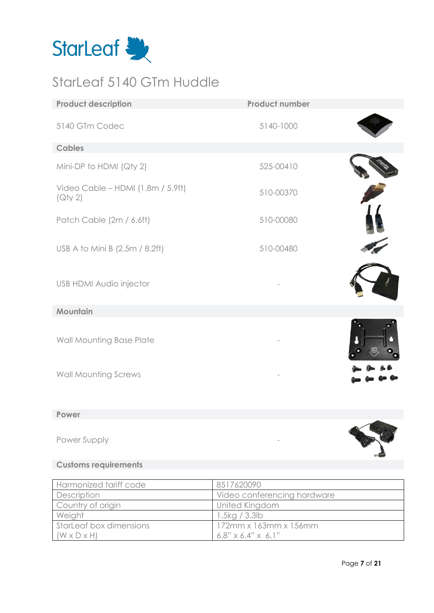

### <span id="page-6-0"></span>StarLeaf 5140 GTm Huddle

| <b>Product description</b>                                                 | <b>Product number</b> |  |
|----------------------------------------------------------------------------|-----------------------|--|
| 5140 GTm Codec                                                             | 5140-1000             |  |
| <b>Cables</b>                                                              |                       |  |
| Mini-DP to HDMI (Qty 2)                                                    | 525-00410             |  |
| Video Cable - HDMI (1.8m / 5.9ft)<br>$\left( \bigcirc \forall y 2 \right)$ | 510-00370             |  |
| Patch Cable (2m / 6.6ft)                                                   | 510-00080             |  |
| USB A to Mini B (2.5m / 8.2ft)                                             | 510-00480             |  |
| <b>USB HDMI Audio injector</b>                                             |                       |  |
| Mountain                                                                   |                       |  |
| Wall Mounting Base Plate                                                   |                       |  |
| <b>Wall Mounting Screws</b>                                                |                       |  |

### **Power**

Power Supply

| Harmonized tariff code  | 8517620090                     |
|-------------------------|--------------------------------|
| Description             | Video conferencing hardware    |
| Country of origin       | United Kingdom                 |
| Weight                  | 1.5kg / 3.3lb                  |
| StarLeaf box dimensions | $172$ mm x $163$ mm x $156$ mm |
| $(W \times D \times H)$ | $6.8" \times 6.4" \times 6.1"$ |

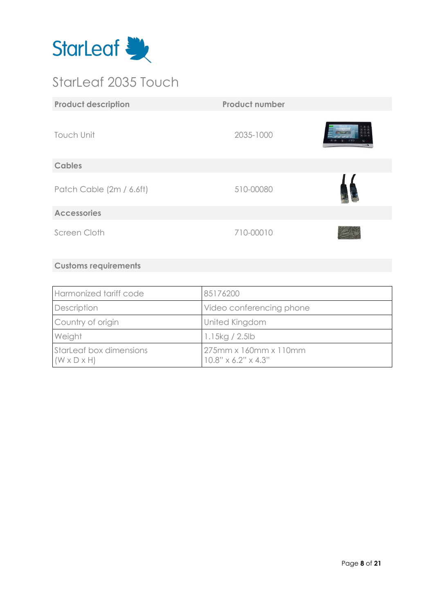

### <span id="page-7-0"></span>StarLeaf 2035 Touch

| <b>Product description</b> | <b>Product number</b> |                     |
|----------------------------|-----------------------|---------------------|
| <b>Touch Unit</b>          | 2035-1000             | <b>Finant &amp;</b> |
| <b>Cables</b>              |                       |                     |
| Patch Cable (2m / 6.6ft)   | 510-00080             |                     |
| <b>Accessories</b>         |                       |                     |
| Screen Cloth               | 710-00010             |                     |

| Harmonized tariff code                             | 85176200                                                 |
|----------------------------------------------------|----------------------------------------------------------|
| Description                                        | Video conferencing phone                                 |
| Country of origin                                  | United Kingdom                                           |
| Weight                                             | 1.15kg / 2.5lb                                           |
| StarLeaf box dimensions<br>$(W \times D \times H)$ | 275mm x 160mm x 110mm<br>$10.8" \times 6.2" \times 4.3"$ |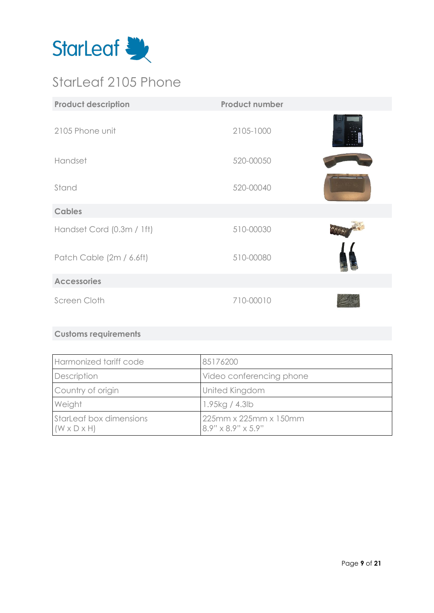

### <span id="page-8-0"></span>StarLeaf 2105 Phone

| <b>Product description</b> | <b>Product number</b> |  |
|----------------------------|-----------------------|--|
| 2105 Phone unit            | 2105-1000             |  |
| Handset                    | 520-00050             |  |
| Stand                      | 520-00040             |  |
| <b>Cables</b>              |                       |  |
| Handset Cord (0.3m / 1ft)  | 510-00030             |  |
| Patch Cable (2m / 6.6ft)   | 510-00080             |  |
| <b>Accessories</b>         |                       |  |
| Screen Cloth               | 710-00010             |  |

| Harmonized tariff code                             | 85176200                                                |
|----------------------------------------------------|---------------------------------------------------------|
| Description                                        | Video conferencing phone                                |
| Country of origin                                  | United Kingdom                                          |
| Weight                                             | 1.95kg / 4.3lb                                          |
| StarLeaf box dimensions<br>$(W \times D \times H)$ | 225mm x 225mm x 150mm<br>$8.9" \times 8.9" \times 5.9"$ |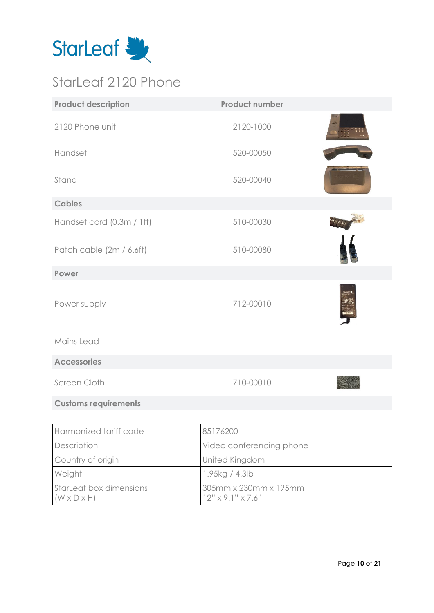

### <span id="page-9-0"></span>StarLeaf 2120 Phone

| <b>Product description</b>  | <b>Product number</b> |  |
|-----------------------------|-----------------------|--|
| 2120 Phone unit             | 2120-1000             |  |
| Handset                     | 520-00050             |  |
| Stand                       | 520-00040             |  |
| <b>Cables</b>               |                       |  |
| Handset cord (0.3m / 1ft)   | 510-00030             |  |
| Patch cable (2m / 6.6ft)    | 510-00080             |  |
| Power                       |                       |  |
| Power supply                | 712-00010             |  |
| Mains Lead                  |                       |  |
| <b>Accessories</b>          |                       |  |
| Screen Cloth                | 710-00010             |  |
| <b>Customs requirements</b> |                       |  |

| Harmonized tariff code                             | 85176200                                               |
|----------------------------------------------------|--------------------------------------------------------|
| Description                                        | Video conferencing phone                               |
| Country of origin                                  | United Kingdom                                         |
| Weight                                             | 1.95kg / 4.3lb                                         |
| StarLeaf box dimensions<br>$(W \times D \times H)$ | 305mm x 230mm x 195mm<br>$12" \times 9.1" \times 7.6"$ |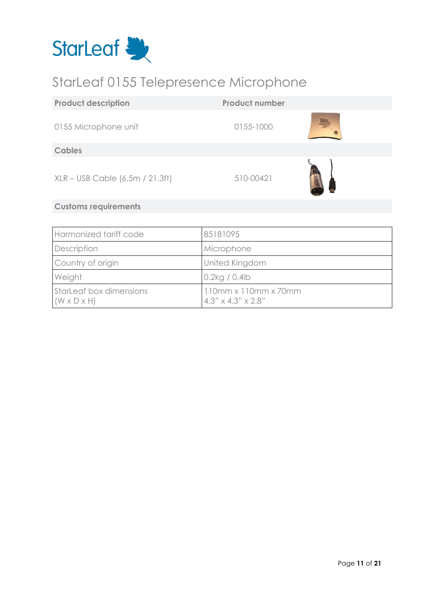

### <span id="page-10-0"></span>StarLeaf 0155 Telepresence Microphone

| <b>Product description</b>          | <b>Product number</b> |  |
|-------------------------------------|-----------------------|--|
| 0155 Microphone unit                | 0155-1000             |  |
| <b>Cables</b>                       |                       |  |
| $XLR - USB$ Cable $(6.5m / 21.3ft)$ | 510-00421             |  |
| <b>Customs requirements</b>         |                       |  |

| Harmonized tariff code                             | 85181095                                                           |
|----------------------------------------------------|--------------------------------------------------------------------|
| Description                                        | Microphone                                                         |
| Country of origin                                  | United Kingdom                                                     |
| Weight                                             | $0.2$ kg / 0.4lb                                                   |
| StarLeaf box dimensions<br>$(W \times D \times H)$ | $110mm \times 110mm \times 70mm$<br>$4.3" \times 4.3" \times 2.8"$ |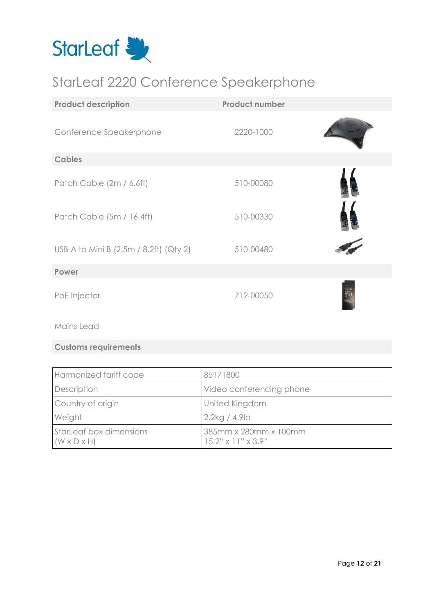

### <span id="page-11-0"></span>StarLeaf 2220 Conference Speakerphone

| <b>Product description</b>                 | <b>Product number</b> |  |
|--------------------------------------------|-----------------------|--|
| Conference Speakerphone                    | 2220-1000             |  |
| <b>Cables</b>                              |                       |  |
| Patch Cable (2m / 6.6ft)                   | 510-00080             |  |
| Patch Cable (5m / 16.4ft)                  | 510-00330             |  |
| USB A to Mini B $(2.5m / 8.2ft)$ $(Qty 2)$ | 510-00480             |  |
| Power                                      |                       |  |
| PoE Injector                               | 712-00050             |  |

Mains Lead

| Harmonized tariff code                             | 85171800                                                |
|----------------------------------------------------|---------------------------------------------------------|
| Description                                        | Video conferencing phone                                |
| Country of origin                                  | United Kingdom                                          |
| Weight                                             | $2.2$ kg / 4.9lb                                        |
| StarLeaf box dimensions<br>$(W \times D \times H)$ | 385mm x 280mm x 100mm<br>$15.2" \times 11" \times 3.9"$ |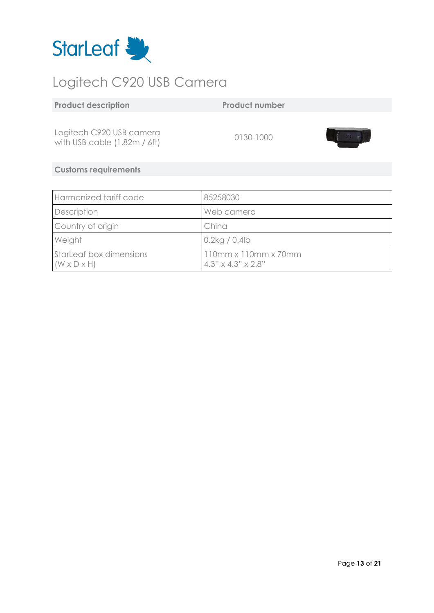

# <span id="page-12-0"></span>Logitech C920 USB Camera

Logitech C920 USB camera with USB cable (1.82m / 6ft) 0130-1000

**Product number** 



| Harmonized tariff code                             | 85258030                                                           |
|----------------------------------------------------|--------------------------------------------------------------------|
| Description                                        | Web camera                                                         |
| Country of origin                                  | China                                                              |
| Weight                                             | $0.2$ kg / 0.4lb                                                   |
| StarLeaf box dimensions<br>$(W \times D \times H)$ | $110mm \times 110mm \times 70mm$<br>$4.3" \times 4.3" \times 2.8"$ |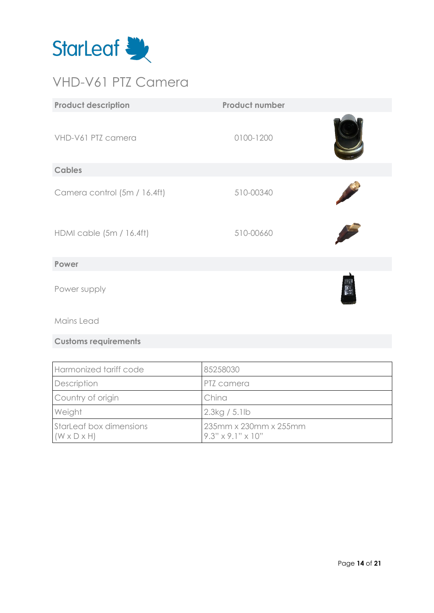

### <span id="page-13-0"></span>VHD-V61 PTZ Camera

| <b>Product description</b>   | <b>Product number</b> |              |
|------------------------------|-----------------------|--------------|
| VHD-V61 PTZ camera           | 0100-1200             |              |
| <b>Cables</b>                |                       |              |
| Camera control (5m / 16.4ft) | 510-00340             |              |
| HDMI cable (5m / 16.4ft)     | 510-00660             |              |
| Power                        |                       |              |
| Power supply                 |                       | <b>Basic</b> |
| Mains Lead                   |                       |              |
| <b>Customs requirements</b>  |                       |              |
|                              |                       |              |

| Harmonized tariff code                             | 85258030                                               |
|----------------------------------------------------|--------------------------------------------------------|
| Description                                        | PTZ camera                                             |
| Country of origin                                  | China                                                  |
| Weight                                             | 2.3kg/5.1lb                                            |
| StarLeaf box dimensions<br>$(W \times D \times H)$ | 235mm x 230mm x 255mm<br>$9.3" \times 9.1" \times 10"$ |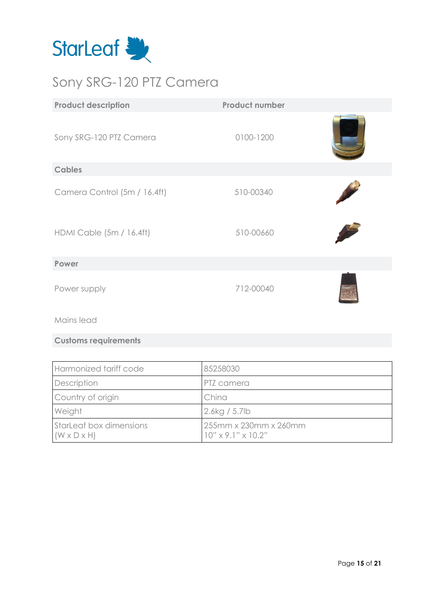

### <span id="page-14-0"></span>Sony SRG-120 PTZ Camera

| <b>Product description</b>   | <b>Product number</b> |  |
|------------------------------|-----------------------|--|
| Sony SRG-120 PTZ Camera      | 0100-1200             |  |
| <b>Cables</b>                |                       |  |
| Camera Control (5m / 16.4ft) | 510-00340             |  |
| HDMI Cable (5m / 16.4ft)     | 510-00660             |  |
| Power                        |                       |  |
| Power supply                 | 712-00040             |  |
| Mains lead                   |                       |  |

| Harmonized tariff code                                    | 85258030                                                |
|-----------------------------------------------------------|---------------------------------------------------------|
| Description                                               | <b>PTZ</b> camera                                       |
| Country of origin                                         | China                                                   |
| Weight                                                    | 2.6kg / 5.7lb                                           |
| <b>StarLeaf box dimensions</b><br>$(W \times D \times H)$ | 255mm x 230mm x 260mm<br>$10" \times 9.1" \times 10.2"$ |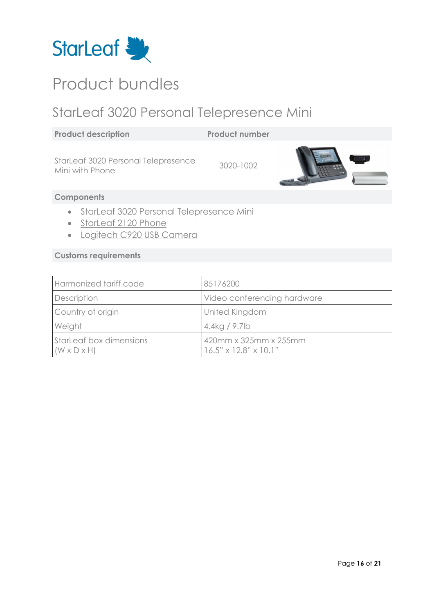

## <span id="page-15-0"></span>Product bundles

### <span id="page-15-1"></span>StarLeaf 3020 Personal Telepresence Mini

**Product number** 

StarLeaf 3020 Personal Telepresence Started 3020 Fersonal Telepresence<br>Mini with Phone



### **Components**

- [StarLeaf 3020 Personal Telepresence Mini](#page-2-1)
- [StarLeaf 2120 Phone](#page-9-0)
- [Logitech C920 USB Camera](#page-12-0)

| Harmonized tariff code                             | 85176200                                                   |
|----------------------------------------------------|------------------------------------------------------------|
| Description                                        | Video conferencing hardware                                |
| Country of origin                                  | <b>United Kingdom</b>                                      |
| Weight                                             | 4.4kg / 9.7lb                                              |
| StarLeaf box dimensions<br>$(W \times D \times H)$ | 420mm x 325mm x 255mm<br>$16.5" \times 12.8" \times 10.1"$ |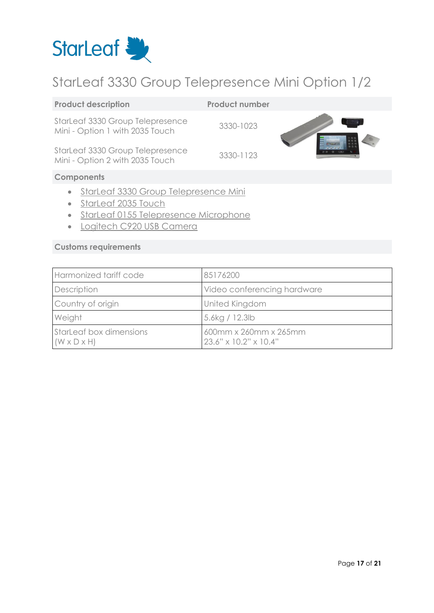

### <span id="page-16-0"></span>StarLeaf 3330 Group Telepresence Mini Option 1/2

| <b>Product description</b>                                                | <b>Product number</b> |  |
|---------------------------------------------------------------------------|-----------------------|--|
| StarLeaf 3330 Group Telepresence<br>Mini - Option 1 with 2035 Touch       | 3330-1023             |  |
| StarLeaf 3330 Group Telepresence<br>Mini - Option 2 with 2035 Touch       | 3330-1123             |  |
| <b>Components</b>                                                         |                       |  |
| StarLeaf 3330 Group Telepresence Mini<br>$\bullet$<br>StarLeaf 2035 Touch |                       |  |

- [StarLeaf 0155 Telepresence Microphone](#page-10-0)
- [Logitech C920 USB Camera](#page-12-0)

| Harmonized tariff code                             | 85176200                                       |
|----------------------------------------------------|------------------------------------------------|
| Description                                        | Video conferencing hardware                    |
| Country of origin                                  | United Kingdom                                 |
| Weight                                             | 5.6kg / 12.3lb                                 |
| StarLeaf box dimensions<br>$(W \times D \times H)$ | 600mm x 260mm x 265mm<br>23.6" x 10.2" x 10.4" |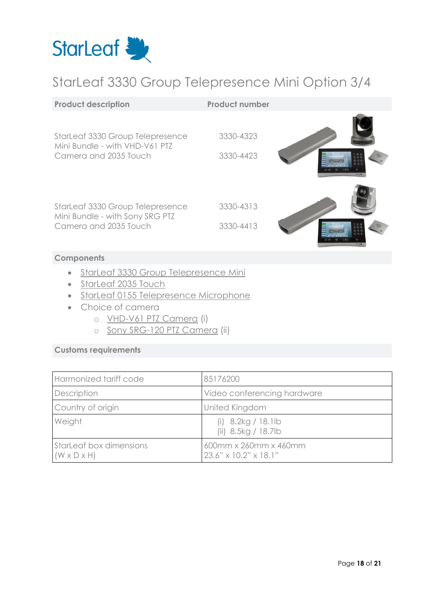

### <span id="page-17-0"></span>StarLeaf 3330 Group Telepresence Mini Option 3/4

| <b>Product description</b>                                                                   | <b>Product number</b>  |  |
|----------------------------------------------------------------------------------------------|------------------------|--|
| StarLeaf 3330 Group Telepresence<br>Mini Bundle - with VHD-V61 PTZ<br>Camera and 2035 Touch  | 3330-4323<br>3330-4423 |  |
| StarLeaf 3330 Group Telepresence<br>Mini Bundle - with Sony SRG PTZ<br>Camera and 2035 Touch | 3330-4313<br>3330-4413 |  |
|                                                                                              |                        |  |

#### **Components**

- [StarLeaf 3330 Group Telepresence Mini](#page-3-0)
- [StarLeaf 2035 Touch](#page-7-0)
- [StarLeaf 0155 Telepresence Microphone](#page-10-0)
- Choice of camera
	- o [VHD-V61 PTZ Camera](#page-13-0) (i)
	- o [Sony SRG-120 PTZ Camera](#page-14-0) (ii)

| Harmonized tariff code                                    | 85176200                                       |
|-----------------------------------------------------------|------------------------------------------------|
| Description                                               | Video conferencing hardware                    |
| Country of origin                                         | United Kingdom                                 |
| Weight                                                    | (i) $8.2kg / 18.1lb$<br>(ii) 8.5kg / 18.7lb    |
| <b>StarLeaf box dimensions</b><br>$(W \times D \times H)$ | 600mm x 260mm x 460mm<br>23.6" x 10.2" x 18.1" |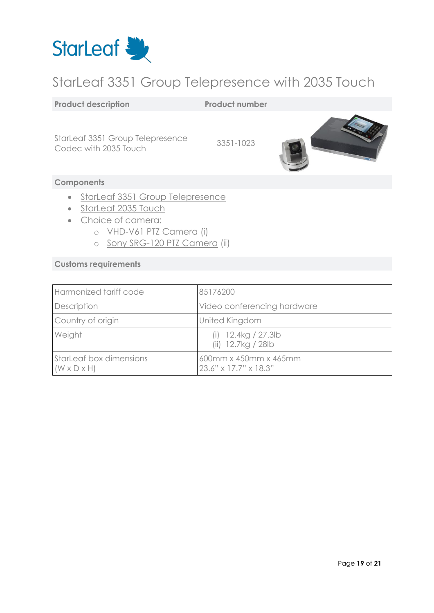

### <span id="page-18-0"></span>StarLeaf 3351 Group Telepresence with 2035 Touch

#### **Product description Product number**

StarLeaf 3351 Group Telepresence Started 3351 Group Telepresence<br>Codec with 2035 Touch 3351-1023



#### **Components**

- [StarLeaf 3351 Group Telepresence](#page-4-0)
- [StarLeaf 2035 Touch](#page-7-0)
- Choice of camera:
	- o [VHD-V61 PTZ Camera](#page-13-0) (i)
	- o [Sony SRG-120 PTZ Camera](#page-14-0) (ii)

| Harmonized tariff code                             | 85176200                                       |
|----------------------------------------------------|------------------------------------------------|
| Description                                        | Video conferencing hardware                    |
| Country of origin                                  | United Kingdom                                 |
| Weight                                             | (i) $12.4kg / 27.3lb$<br>(ii) 12.7kg / 28lb    |
| StarLeaf box dimensions<br>$(W \times D \times H)$ | 600mm x 450mm x 465mm<br>23.6" x 17.7" x 18.3" |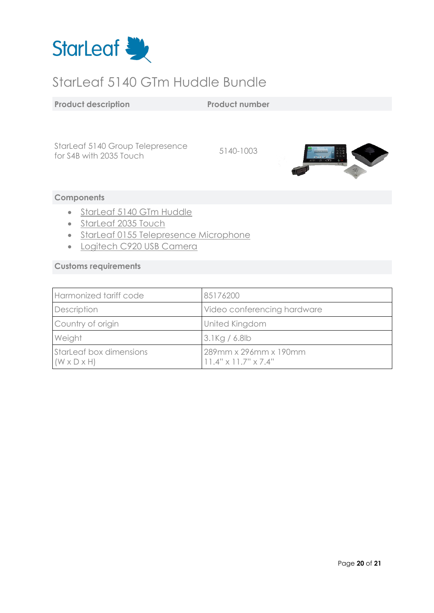

### <span id="page-19-0"></span>StarLeaf 5140 GTm Huddle Bundle

#### **Product description Product number**

StarLeaf 5140 Group Telepresence stated 3140 Group Telepresence<br>for S4B with 2035 Touch



#### **Components**

- [StarLeaf 5140 GTm Huddle](#page-6-0)
- [StarLeaf 2035 Touch](#page-7-0)
- [StarLeaf 0155 Telepresence Microphone](#page-10-0)
- [Logitech C920 USB Camera](#page-12-0)

| Harmonized tariff code                             | 85176200                                                  |
|----------------------------------------------------|-----------------------------------------------------------|
| Description                                        | Video conferencing hardware                               |
| Country of origin                                  | <b>United Kingdom</b>                                     |
| Weight                                             | $3.1$ Kg / 6.8lb                                          |
| StarLeaf box dimensions<br>$(W \times D \times H)$ | 289mm x 296mm x 190mm<br>$11.4" \times 11.7" \times 7.4"$ |